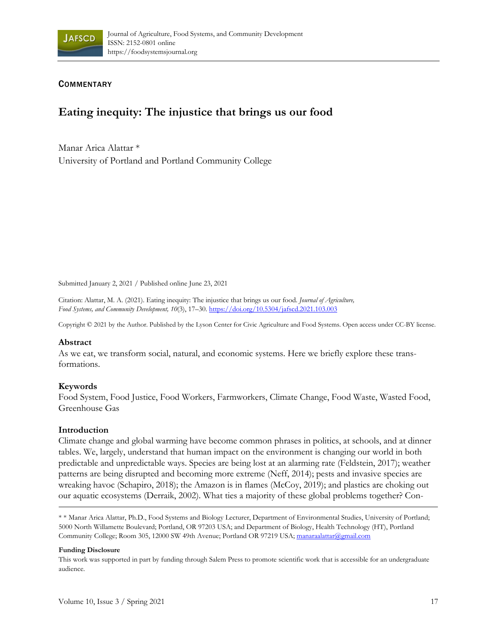

## **COMMENTARY**

# **Eating inequity: The injustice that brings us our food**

Manar Arica Alattar \* University of Portland and Portland Community College

Submitted January 2, 2021 / Published online June 23, 2021

Citation: Alattar, M. A. (2021). Eating inequity: The injustice that brings us our food. *Journal of Agriculture, Food Systems, and Community Development, 10*(3), 17–30. https://doi.org/10.5304/jafscd.2021.103.003

Copyright © 2021 by the Author. Published by the Lyson Center for Civic Agriculture and Food Systems. Open access under CC-BY license.

## **Abstract**

As we eat, we transform social, natural, and economic systems. Here we briefly explore these transformations.

## **Keywords**

Food System, Food Justice, Food Workers, Farmworkers, Climate Change, Food Waste, Wasted Food, Greenhouse Gas

## **Introduction**

Climate change and global warming have become common phrases in politics, at schools, and at dinner tables. We, largely, understand that human impact on the environment is changing our world in both predictable and unpredictable ways. Species are being lost at an alarming rate (Feldstein, 2017); weather patterns are being disrupted and becoming more extreme (Neff, 2014); pests and invasive species are wreaking havoc (Schapiro, 2018); the Amazon is in flames (McCoy, 2019); and plastics are choking out our aquatic ecosystems (Derraik, 2002). What ties a majority of these global problems together? Con-

\* \* Manar Arica Alattar, Ph.D., Food Systems and Biology Lecturer, Department of Environmental Studies, University of Portland; 5000 North Willamette Boulevard; Portland, OR 97203 USA; and Department of Biology, Health Technology (HT), Portland Community College; Room 305, 12000 SW 49th Avenue; Portland OR 97219 USA; manaraalattar@gmail.com

#### **Funding Disclosure**

This work was supported in part by funding through Salem Press to promote scientific work that is accessible for an undergraduate audience.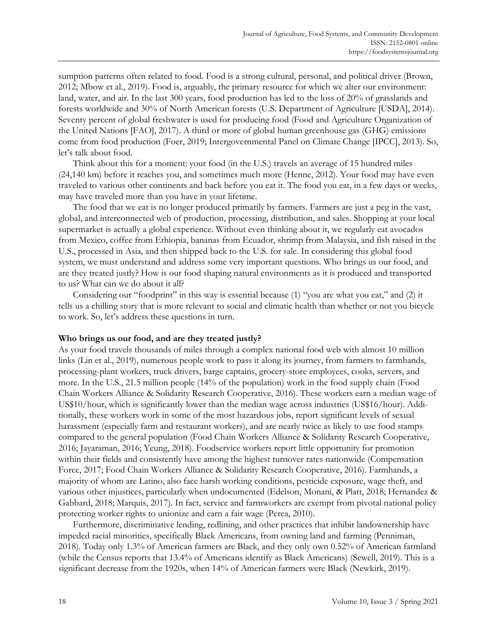sumption patterns often related to food. Food is a strong cultural, personal, and political driver (Brown, 2012; Mbow et al., 2019). Food is, arguably, the primary resource for which we alter our environment: land, water, and air. In the last 300 years, food production has led to the loss of 20% of grasslands and forests worldwide and 30% of North American forests (U.S. Department of Agriculture [USDA], 2014). Seventy percent of global freshwater is used for producing food (Food and Agriculture Organization of the United Nations [FAO], 2017). A third or more of global human greenhouse gas (GHG) emissions come from food production (Foer, 2019; Intergovernmental Panel on Climate Change [IPCC], 2013). So, let's talk about food.

 Think about this for a moment: your food (in the U.S.) travels an average of 15 hundred miles (24,140 km) before it reaches you, and sometimes much more (Henne, 2012). Your food may have even traveled to various other continents and back before you eat it. The food you eat, in a few days or weeks, may have traveled more than you have in your lifetime.

 The food that we eat is no longer produced primarily by farmers. Farmers are just a peg in the vast, global, and interconnected web of production, processing, distribution, and sales. Shopping at your local supermarket is actually a global experience. Without even thinking about it, we regularly eat avocados from Mexico, coffee from Ethiopia, bananas from Ecuador, shrimp from Malaysia, and fish raised in the U.S., processed in Asia, and then shipped back to the U.S. for sale. In considering this global food system, we must understand and address some very important questions. Who brings us our food, and are they treated justly? How is our food shaping natural environments as it is produced and transported to us? What can we do about it all?

 Considering our "foodprint" in this way is essential because (1) "you are what you eat," and (2) it tells us a chilling story that is more relevant to social and climatic health than whether or not you bicycle to work. So, let's address these questions in turn.

## **Who brings us our food, and are they treated justly?**

As your food travels thousands of miles through a complex national food web with almost 10 million links (Lin et al., 2019), numerous people work to pass it along its journey, from farmers to farmhands, processing-plant workers, truck drivers, barge captains, grocery-store employees, cooks, servers, and more. In the U.S., 21.5 million people (14% of the population) work in the food supply chain (Food Chain Workers Alliance & Solidarity Research Cooperative, 2016). These workers earn a median wage of US\$10/hour, which is significantly lower than the median wage across industries (US\$16/hour). Additionally, these workers work in some of the most hazardous jobs, report significant levels of sexual harassment (especially farm and restaurant workers), and are nearly twice as likely to use food stamps compared to the general population (Food Chain Workers Alliance & Solidarity Research Cooperative, 2016; Jayaraman, 2016; Yeung, 2018). Foodservice workers report little opportunity for promotion within their fields and consistently have among the highest turnover rates nationwide (Compensation Force, 2017; Food Chain Workers Alliance & Solidarity Research Cooperative, 2016). Farmhands, a majority of whom are Latino, also face harsh working conditions, pesticide exposure, wage theft, and various other injustices, particularly when undocumented (Edelson, Monani, & Platt, 2018; Hernandez & Gabbard, 2018; Marquis, 2017). In fact, service and farmworkers are exempt from pivotal national policy protecting worker rights to unionize and earn a fair wage (Perea, 2010).

 Furthermore, discriminative lending, redlining, and other practices that inhibit landownership have impeded racial minorities, specifically Black Americans, from owning land and farming (Penniman, 2018). Today only 1.3% of American farmers are Black, and they only own 0.52% of American farmland (while the Census reports that 13.4% of Americans identify as Black Americans) (Sewell, 2019). This is a significant decrease from the 1920s, when 14% of American farmers were Black (Newkirk, 2019).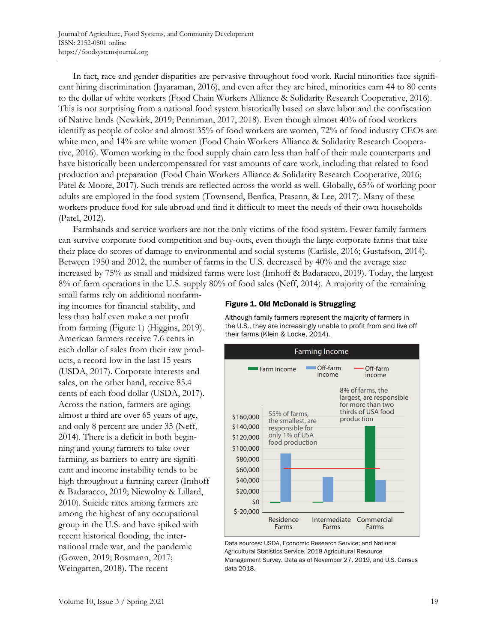In fact, race and gender disparities are pervasive throughout food work. Racial minorities face significant hiring discrimination (Jayaraman, 2016), and even after they are hired, minorities earn 44 to 80 cents to the dollar of white workers (Food Chain Workers Alliance & Solidarity Research Cooperative, 2016). This is not surprising from a national food system historically based on slave labor and the confiscation of Native lands (Newkirk, 2019; Penniman, 2017, 2018). Even though almost 40% of food workers identify as people of color and almost 35% of food workers are women, 72% of food industry CEOs are white men, and 14% are white women (Food Chain Workers Alliance & Solidarity Research Cooperative, 2016). Women working in the food supply chain earn less than half of their male counterparts and have historically been undercompensated for vast amounts of care work, including that related to food production and preparation (Food Chain Workers Alliance & Solidarity Research Cooperative, 2016; Patel & Moore, 2017). Such trends are reflected across the world as well. Globally, 65% of working poor adults are employed in the food system (Townsend, Benfica, Prasann, & Lee, 2017). Many of these workers produce food for sale abroad and find it difficult to meet the needs of their own households (Patel, 2012).

 Farmhands and service workers are not the only victims of the food system. Fewer family farmers can survive corporate food competition and buy-outs, even though the large corporate farms that take their place do scores of damage to environmental and social systems (Carlisle, 2016; Gustafson, 2014). Between 1950 and 2012, the number of farms in the U.S. decreased by 40% and the average size increased by 75% as small and midsized farms were lost (Imhoff & Badaracco, 2019). Today, the largest 8% of farm operations in the U.S. supply 80% of food sales (Neff, 2014). A majority of the remaining

small farms rely on additional nonfarming incomes for financial stability, and less than half even make a net profit from farming (Figure 1) (Higgins, 2019). American farmers receive 7.6 cents in each dollar of sales from their raw products, a record low in the last 15 years (USDA, 2017). Corporate interests and sales, on the other hand, receive 85.4 cents of each food dollar (USDA, 2017). Across the nation, farmers are aging; almost a third are over 65 years of age, and only 8 percent are under 35 (Neff, 2014). There is a deficit in both beginning and young farmers to take over farming, as barriers to entry are significant and income instability tends to be high throughout a farming career (Imhoff & Badaracco, 2019; Niewolny & Lillard, 2010). Suicide rates among farmers are among the highest of any occupational group in the U.S. and have spiked with recent historical flooding, the international trade war, and the pandemic (Gowen, 2019; Rosmann, 2017; Weingarten, 2018). The recent

## Figure 1. Old McDonald is Struggling

Although family farmers represent the majority of farmers in the U.S., they are increasingly unable to profit from and live off their farms (Klein & Locke, 2014).



Data sources: USDA, Economic Research Service; and National Agricultural Statistics Service, 2018 Agricultural Resource Management Survey. Data as of November 27, 2019, and U.S. Census data 2018.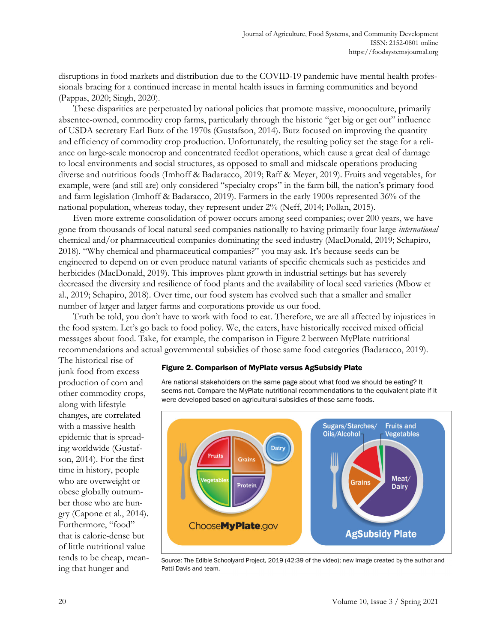disruptions in food markets and distribution due to the COVID-19 pandemic have mental health professionals bracing for a continued increase in mental health issues in farming communities and beyond (Pappas, 2020; Singh, 2020).

 These disparities are perpetuated by national policies that promote massive, monoculture, primarily absentee-owned, commodity crop farms, particularly through the historic "get big or get out" influence of USDA secretary Earl Butz of the 1970s (Gustafson, 2014). Butz focused on improving the quantity and efficiency of commodity crop production. Unfortunately, the resulting policy set the stage for a reliance on large-scale monocrop and concentrated feedlot operations, which cause a great deal of damage to local environments and social structures, as opposed to small and midscale operations producing diverse and nutritious foods (Imhoff & Badaracco, 2019; Raff & Meyer, 2019). Fruits and vegetables, for example, were (and still are) only considered "specialty crops" in the farm bill, the nation's primary food and farm legislation (Imhoff & Badaracco, 2019). Farmers in the early 1900s represented 36% of the national population, whereas today, they represent under 2% (Neff, 2014; Pollan, 2015).

 Even more extreme consolidation of power occurs among seed companies; over 200 years, we have gone from thousands of local natural seed companies nationally to having primarily four large *international* chemical and/or pharmaceutical companies dominating the seed industry (MacDonald, 2019; Schapiro, 2018). "Why chemical and pharmaceutical companies?" you may ask. It's because seeds can be engineered to depend on or even produce natural variants of specific chemicals such as pesticides and herbicides (MacDonald, 2019). This improves plant growth in industrial settings but has severely decreased the diversity and resilience of food plants and the availability of local seed varieties (Mbow et al., 2019; Schapiro, 2018). Over time, our food system has evolved such that a smaller and smaller number of larger and larger farms and corporations provide us our food.

 Truth be told, you don't have to work with food to eat. Therefore, we are all affected by injustices in the food system. Let's go back to food policy. We, the eaters, have historically received mixed official messages about food. Take, for example, the comparison in Figure 2 between MyPlate nutritional recommendations and actual governmental subsidies of those same food categories (Badaracco, 2019).

The historical rise of junk food from excess production of corn and other commodity crops, along with lifestyle changes, are correlated with a massive health epidemic that is spreading worldwide (Gustafson, 2014). For the first time in history, people who are overweight or obese globally outnumber those who are hungry (Capone et al., 2014). Furthermore, "food" that is calorie-dense but of little nutritional value tends to be cheap, meaning that hunger and

## Figure 2. Comparison of MyPlate versus AgSubsidy Plate

Are national stakeholders on the same page about what food we should be eating? It seems not. Compare the MyPlate nutritional recommendations to the equivalent plate if it were developed based on agricultural subsidies of those same foods.



Source: The Edible Schoolyard Project, 2019 (42:39 of the video); new image created by the author and Patti Davis and team.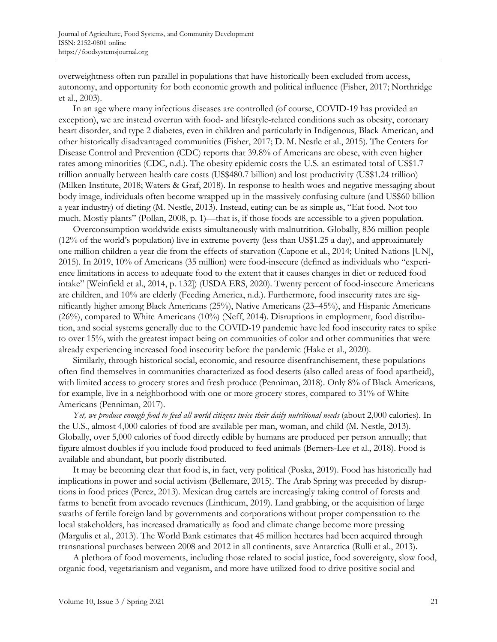overweightness often run parallel in populations that have historically been excluded from access, autonomy, and opportunity for both economic growth and political influence (Fisher, 2017; Northridge et al., 2003).

 In an age where many infectious diseases are controlled (of course, COVID-19 has provided an exception), we are instead overrun with food- and lifestyle-related conditions such as obesity, coronary heart disorder, and type 2 diabetes, even in children and particularly in Indigenous, Black American, and other historically disadvantaged communities (Fisher, 2017; D. M. Nestle et al., 2015). The Centers for Disease Control and Prevention (CDC) reports that 39.8% of Americans are obese, with even higher rates among minorities (CDC, n.d.). The obesity epidemic costs the U.S. an estimated total of US\$1.7 trillion annually between health care costs (US\$480.7 billion) and lost productivity (US\$1.24 trillion) (Milken Institute, 2018; Waters & Graf, 2018). In response to health woes and negative messaging about body image, individuals often become wrapped up in the massively confusing culture (and US\$60 billion a year industry) of dieting (M. Nestle, 2013). Instead, eating can be as simple as, "Eat food. Not too much. Mostly plants" (Pollan, 2008, p. 1)—that is, if those foods are accessible to a given population.

 Overconsumption worldwide exists simultaneously with malnutrition. Globally, 836 million people (12% of the world's population) live in extreme poverty (less than US\$1.25 a day), and approximately one million children a year die from the effects of starvation (Capone et al., 2014; United Nations [UN], 2015). In 2019, 10% of Americans (35 million) were food-insecure (defined as individuals who "experience limitations in access to adequate food to the extent that it causes changes in diet or reduced food intake" [Weinfield et al., 2014, p. 132]) (USDA ERS, 2020). Twenty percent of food-insecure Americans are children, and 10% are elderly (Feeding America, n.d.). Furthermore, food insecurity rates are significantly higher among Black Americans (25%), Native Americans (23–45%), and Hispanic Americans (26%), compared to White Americans (10%) (Neff, 2014). Disruptions in employment, food distribution, and social systems generally due to the COVID-19 pandemic have led food insecurity rates to spike to over 15%, with the greatest impact being on communities of color and other communities that were already experiencing increased food insecurity before the pandemic (Hake et al., 2020).

 Similarly, through historical social, economic, and resource disenfranchisement, these populations often find themselves in communities characterized as food deserts (also called areas of food apartheid), with limited access to grocery stores and fresh produce (Penniman, 2018). Only 8% of Black Americans, for example, live in a neighborhood with one or more grocery stores, compared to 31% of White Americans (Penniman, 2017).

 *Yet, we produce enough food to feed all world citizens twice their daily nutritional needs* (about 2,000 calories). In the U.S., almost 4,000 calories of food are available per man, woman, and child (M. Nestle, 2013). Globally, over 5,000 calories of food directly edible by humans are produced per person annually; that figure almost doubles if you include food produced to feed animals (Berners-Lee et al., 2018). Food is available and abundant, but poorly distributed.

 It may be becoming clear that food is, in fact, very political (Poska, 2019). Food has historically had implications in power and social activism (Bellemare, 2015). The Arab Spring was preceded by disruptions in food prices (Perez, 2013). Mexican drug cartels are increasingly taking control of forests and farms to benefit from avocado revenues (Linthicum, 2019). Land grabbing, or the acquisition of large swaths of fertile foreign land by governments and corporations without proper compensation to the local stakeholders, has increased dramatically as food and climate change become more pressing (Margulis et al., 2013). The World Bank estimates that 45 million hectares had been acquired through transnational purchases between 2008 and 2012 in all continents, save Antarctica (Rulli et al., 2013).

 A plethora of food movements, including those related to social justice, food sovereignty, slow food, organic food, vegetarianism and veganism, and more have utilized food to drive positive social and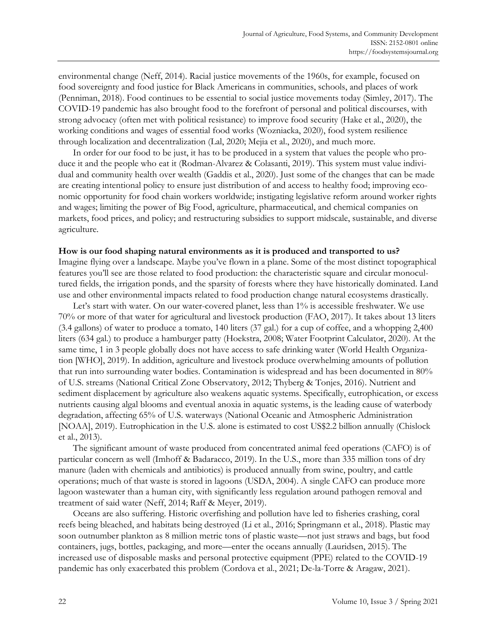environmental change (Neff, 2014). Racial justice movements of the 1960s, for example, focused on food sovereignty and food justice for Black Americans in communities, schools, and places of work (Penniman, 2018). Food continues to be essential to social justice movements today (Simley, 2017). The COVID-19 pandemic has also brought food to the forefront of personal and political discourses, with strong advocacy (often met with political resistance) to improve food security (Hake et al., 2020), the working conditions and wages of essential food works (Wozniacka, 2020), food system resilience through localization and decentralization (Lal, 2020; Mejia et al., 2020), and much more.

 In order for our food to be just, it has to be produced in a system that values the people who produce it and the people who eat it (Rodman-Alvarez & Colasanti, 2019). This system must value individual and community health over wealth (Gaddis et al., 2020). Just some of the changes that can be made are creating intentional policy to ensure just distribution of and access to healthy food; improving economic opportunity for food chain workers worldwide; instigating legislative reform around worker rights and wages; limiting the power of Big Food, agriculture, pharmaceutical, and chemical companies on markets, food prices, and policy; and restructuring subsidies to support midscale, sustainable, and diverse agriculture.

#### **How is our food shaping natural environments as it is produced and transported to us?**

Imagine flying over a landscape. Maybe you've flown in a plane. Some of the most distinct topographical features you'll see are those related to food production: the characteristic square and circular monocultured fields, the irrigation ponds, and the sparsity of forests where they have historically dominated. Land use and other environmental impacts related to food production change natural ecosystems drastically.

Let's start with water. On our water-covered planet, less than 1% is accessible freshwater. We use 70% or more of that water for agricultural and livestock production (FAO, 2017). It takes about 13 liters (3.4 gallons) of water to produce a tomato, 140 liters (37 gal.) for a cup of coffee, and a whopping 2,400 liters (634 gal.) to produce a hamburger patty (Hoekstra, 2008; Water Footprint Calculator, 2020). At the same time, 1 in 3 people globally does not have access to safe drinking water (World Health Organization [WHO], 2019). In addition, agriculture and livestock produce overwhelming amounts of pollution that run into surrounding water bodies. Contamination is widespread and has been documented in 80% of U.S. streams (National Critical Zone Observatory, 2012; Thyberg & Tonjes, 2016). Nutrient and sediment displacement by agriculture also weakens aquatic systems. Specifically, eutrophication, or excess nutrients causing algal blooms and eventual anoxia in aquatic systems, is the leading cause of waterbody degradation, affecting 65% of U.S. waterways (National Oceanic and Atmospheric Administration [NOAA], 2019). Eutrophication in the U.S. alone is estimated to cost US\$2.2 billion annually (Chislock et al., 2013).

 The significant amount of waste produced from concentrated animal feed operations (CAFO) is of particular concern as well (Imhoff & Badaracco, 2019). In the U.S., more than 335 million tons of dry manure (laden with chemicals and antibiotics) is produced annually from swine, poultry, and cattle operations; much of that waste is stored in lagoons (USDA, 2004). A single CAFO can produce more lagoon wastewater than a human city, with significantly less regulation around pathogen removal and treatment of said water (Neff, 2014; Raff & Meyer, 2019).

 Oceans are also suffering. Historic overfishing and pollution have led to fisheries crashing, coral reefs being bleached, and habitats being destroyed (Li et al., 2016; Springmann et al., 2018). Plastic may soon outnumber plankton as 8 million metric tons of plastic waste—not just straws and bags, but food containers, jugs, bottles, packaging, and more—enter the oceans annually (Lauridsen, 2015). The increased use of disposable masks and personal protective equipment (PPE) related to the COVID-19 pandemic has only exacerbated this problem (Cordova et al., 2021; De-la-Torre & Aragaw, 2021).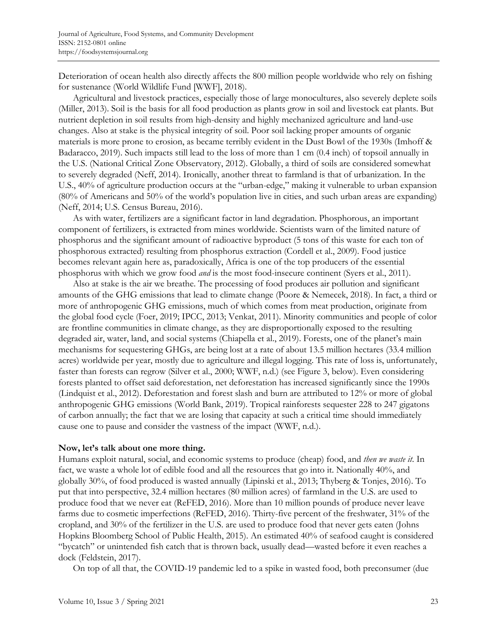Deterioration of ocean health also directly affects the 800 million people worldwide who rely on fishing for sustenance (World Wildlife Fund [WWF], 2018).

 Agricultural and livestock practices, especially those of large monocultures, also severely deplete soils (Miller, 2013). Soil is the basis for all food production as plants grow in soil and livestock eat plants. But nutrient depletion in soil results from high-density and highly mechanized agriculture and land-use changes. Also at stake is the physical integrity of soil. Poor soil lacking proper amounts of organic materials is more prone to erosion, as became terribly evident in the Dust Bowl of the 1930s (Imhoff & Badaracco, 2019). Such impacts still lead to the loss of more than 1 cm (0.4 inch) of topsoil annually in the U.S. (National Critical Zone Observatory, 2012). Globally, a third of soils are considered somewhat to severely degraded (Neff, 2014). Ironically, another threat to farmland is that of urbanization. In the U.S., 40% of agriculture production occurs at the "urban-edge," making it vulnerable to urban expansion (80% of Americans and 50% of the world's population live in cities, and such urban areas are expanding) (Neff, 2014; U.S. Census Bureau, 2016).

 As with water, fertilizers are a significant factor in land degradation. Phosphorous, an important component of fertilizers, is extracted from mines worldwide. Scientists warn of the limited nature of phosphorus and the significant amount of radioactive byproduct (5 tons of this waste for each ton of phosphorous extracted) resulting from phosphorus extraction (Cordell et al., 2009). Food justice becomes relevant again here as, paradoxically, Africa is one of the top producers of the essential phosphorus with which we grow food *and* is the most food-insecure continent (Syers et al., 2011).

 Also at stake is the air we breathe. The processing of food produces air pollution and significant amounts of the GHG emissions that lead to climate change (Poore & Nemecek, 2018). In fact, a third or more of anthropogenic GHG emissions, much of which comes from meat production, originate from the global food cycle (Foer, 2019; IPCC, 2013; Venkat, 2011). Minority communities and people of color are frontline communities in climate change, as they are disproportionally exposed to the resulting degraded air, water, land, and social systems (Chiapella et al., 2019). Forests, one of the planet's main mechanisms for sequestering GHGs, are being lost at a rate of about 13.5 million hectares (33.4 million acres) worldwide per year, mostly due to agriculture and illegal logging. This rate of loss is, unfortunately, faster than forests can regrow (Silver et al., 2000; WWF, n.d.) (see Figure 3, below). Even considering forests planted to offset said deforestation, net deforestation has increased significantly since the 1990s (Lindquist et al., 2012). Deforestation and forest slash and burn are attributed to 12% or more of global anthropogenic GHG emissions (World Bank, 2019). Tropical rainforests sequester 228 to 247 gigatons of carbon annually; the fact that we are losing that capacity at such a critical time should immediately cause one to pause and consider the vastness of the impact (WWF, n.d.).

## **Now, let's talk about one more thing.**

Humans exploit natural, social, and economic systems to produce (cheap) food, and *then we waste it*. In fact, we waste a whole lot of edible food and all the resources that go into it. Nationally 40%, and globally 30%, of food produced is wasted annually (Lipinski et al., 2013; Thyberg & Tonjes, 2016). To put that into perspective, 32.4 million hectares (80 million acres) of farmland in the U.S. are used to produce food that we never eat (ReFED, 2016). More than 10 million pounds of produce never leave farms due to cosmetic imperfections (ReFED, 2016). Thirty-five percent of the freshwater, 31% of the cropland, and 30% of the fertilizer in the U.S. are used to produce food that never gets eaten (Johns Hopkins Bloomberg School of Public Health, 2015). An estimated 40% of seafood caught is considered "bycatch" or unintended fish catch that is thrown back, usually dead—wasted before it even reaches a dock (Feldstein, 2017).

On top of all that, the COVID-19 pandemic led to a spike in wasted food, both preconsumer (due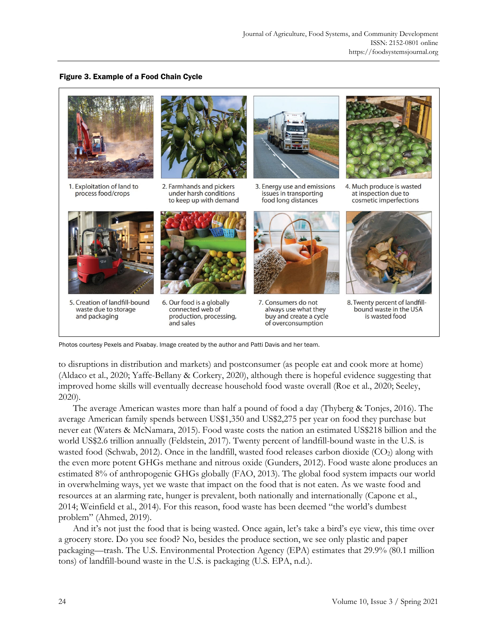## Figure 3. Example of a Food Chain Cycle



Photos courtesy Pexels and Pixabay. Image created by the author and Patti Davis and her team.

to disruptions in distribution and markets) and postconsumer (as people eat and cook more at home) (Aldaco et al., 2020; Yaffe-Bellany & Corkery, 2020), although there is hopeful evidence suggesting that improved home skills will eventually decrease household food waste overall (Roe et al., 2020; Seeley, 2020).

 The average American wastes more than half a pound of food a day (Thyberg & Tonjes, 2016). The average American family spends between US\$1,350 and US\$2,275 per year on food they purchase but never eat (Waters & McNamara, 2015). Food waste costs the nation an estimated US\$218 billion and the world US\$2.6 trillion annually (Feldstein, 2017). Twenty percent of landfill-bound waste in the U.S. is wasted food (Schwab, 2012). Once in the landfill, wasted food releases carbon dioxide (CO<sub>2</sub>) along with the even more potent GHGs methane and nitrous oxide (Gunders, 2012). Food waste alone produces an estimated 8% of anthropogenic GHGs globally (FAO, 2013). The global food system impacts our world in overwhelming ways, yet we waste that impact on the food that is not eaten. As we waste food and resources at an alarming rate, hunger is prevalent, both nationally and internationally (Capone et al., 2014; Weinfield et al., 2014). For this reason, food waste has been deemed "the world's dumbest problem" (Ahmed, 2019).

 And it's not just the food that is being wasted. Once again, let's take a bird's eye view, this time over a grocery store. Do you see food? No, besides the produce section, we see only plastic and paper packaging—trash. The U.S. Environmental Protection Agency (EPA) estimates that 29.9% (80.1 million tons) of landfill-bound waste in the U.S. is packaging (U.S. EPA, n.d.).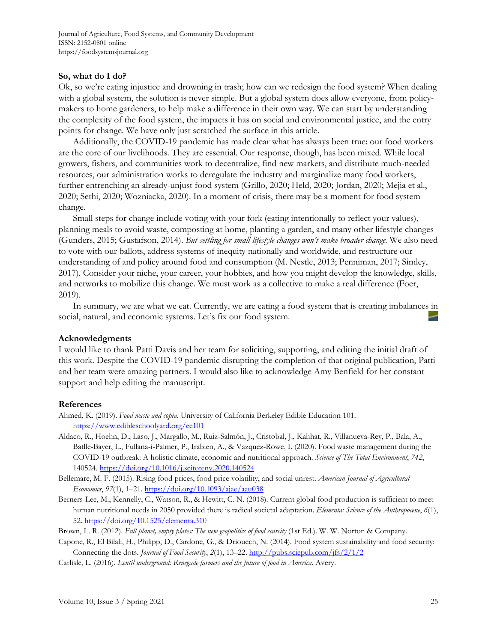# **So, what do I do?**

Ok, so we're eating injustice and drowning in trash; how can we redesign the food system? When dealing with a global system, the solution is never simple. But a global system does allow everyone, from policymakers to home gardeners, to help make a difference in their own way. We can start by understanding the complexity of the food system, the impacts it has on social and environmental justice, and the entry points for change. We have only just scratched the surface in this article.

 Additionally, the COVID-19 pandemic has made clear what has always been true: our food workers are the core of our livelihoods. They are essential. Our response, though, has been mixed. While local growers, fishers, and communities work to decentralize, find new markets, and distribute much-needed resources, our administration works to deregulate the industry and marginalize many food workers, further entrenching an already-unjust food system (Grillo, 2020; Held, 2020; Jordan, 2020; Mejia et al., 2020; Sethi, 2020; Wozniacka, 2020). In a moment of crisis, there may be a moment for food system change.

 Small steps for change include voting with your fork (eating intentionally to reflect your values), planning meals to avoid waste, composting at home, planting a garden, and many other lifestyle changes (Gunders, 2015; Gustafson, 2014). *But settling for small lifestyle changes won't make broader change.* We also need to vote with our ballots, address systems of inequity nationally and worldwide, and restructure our understanding of and policy around food and consumption (M. Nestle, 2013; Penniman, 2017; Simley, 2017). Consider your niche, your career, your hobbies, and how you might develop the knowledge, skills, and networks to mobilize this change. We must work as a collective to make a real difference (Foer, 2019).

 In summary, we are what we eat. Currently, we are eating a food system that is creating imbalances in social, natural, and economic systems. Let's fix our food system.

## **Acknowledgments**

I would like to thank Patti Davis and her team for soliciting, supporting, and editing the initial draft of this work. Despite the COVID-19 pandemic disrupting the completion of that original publication, Patti and her team were amazing partners. I would also like to acknowledge Amy Benfield for her constant support and help editing the manuscript.

## **References**

- Ahmed, K. (2019). *Food waste and copia*. University of California Berkeley Edible Education 101. https://www.edibleschoolyard.org/ee101
- Aldaco, R., Hoehn, D., Laso, J., Margallo, M., Ruiz-Salmón, J., Cristobal, J., Kahhat, R., Villanueva-Rey, P., Bala, A., Batlle-Bayer, L., Fullana-i-Palmer, P., Irabien, A., & Vazquez-Rowe, I. (2020). Food waste management during the COVID-19 outbreak: A holistic climate, economic and nutritional approach. *Science of The Total Environment*, *742*, 140524. https://doi.org/10.1016/j.scitotenv.2020.140524
- Bellemare, M. F. (2015). Rising food prices, food price volatility, and social unrest. *American Journal of Agricultural Economics*, *97*(1), 1–21. https://doi.org/10.1093/ajae/aau038
- Berners-Lee, M., Kennelly, C., Watson, R., & Hewitt, C. N. (2018). Current global food production is sufficient to meet human nutritional needs in 2050 provided there is radical societal adaptation. *Elementa: Science of the Anthropocene*, *6*(1), 52. https://doi.org/10.1525/elementa.310
- Brown, L. R. (2012). *Full planet, empty plates: The new geopolitics of food scarcity* (1st Ed.). W. W. Norton & Company.
- Capone, R., El Bilali, H., Philipp, D., Cardone, G., & Driouech, N. (2014). Food system sustainability and food security: Connecting the dots. *Journal of Food Security*, *2*(1), 13–22. http://pubs.sciepub.com/jfs/2/1/2
- Carlisle, L. (2016). *Lentil underground: Renegade farmers and the future of food in America*. Avery.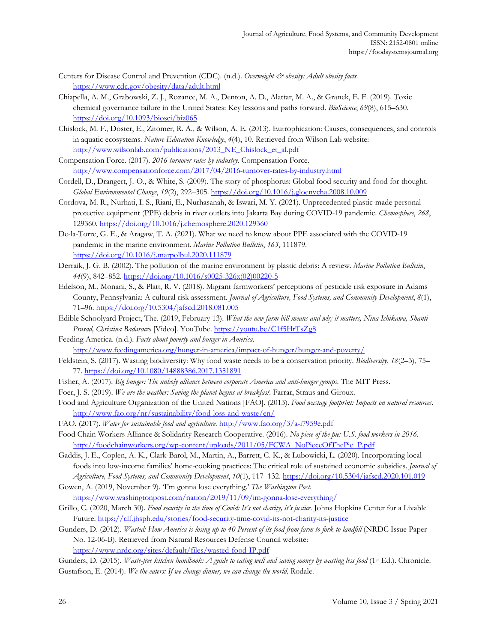- Centers for Disease Control and Prevention (CDC). (n.d.). *Overweight & obesity: Adult obesity facts.* <https://www.cdc.gov/obesity/data/adult.html>
- Chiapella, A. M., Grabowski, Z. J., Rozance, M. A., Denton, A. D., Alattar, M. A., & Granek, E. F. (2019). Toxic chemical governance failure in the United States: Key lessons and paths forward. *BioScience*, *69*(8), 615–630. <https://doi.org/10.1093/biosci/biz065>
- Chislock, M. F., Doster, E., Zitomer, R. A., & Wilson, A. E. (2013). Eutrophication: Causes, consequences, and controls in aquatic ecosystems. *Nature Education Knowledge*, *4*(4), 10. Retrieved from Wilson Lab website: http://www.wilsonlab.com/publications/2013\_NE\_Chislock\_et\_al.pdf
- Compensation Force. (2017). *2016 turnover rates by industry*. Compensation Force. <http://www.compensationforce.com/2017/04/2016-turnover-rates-by-industry.html>
- Cordell, D., Drangert, J.-O., & White, S. (2009). The story of phosphorus: Global food security and food for thought. *Global Environmental Change*, *19*(2), 292–305.<https://doi.org/10.1016/j.gloenvcha.2008.10.009>
- Cordova, M. R., Nurhati, I. S., Riani, E., Nurhasanah, & Iswari, M. Y. (2021). Unprecedented plastic-made personal protective equipment (PPE) debris in river outlets into Jakarta Bay during COVID-19 pandemic. *Chemosphere*, *268*, 129360.<https://doi.org/10.1016/j.chemosphere.2020.129360>
- De-la-Torre, G. E., & Aragaw, T. A. (2021). What we need to know about PPE associated with the COVID-19 pandemic in the marine environment. *Marine Pollution Bulletin*, *163*, 111879. <https://doi.org/10.1016/j.marpolbul.2020.111879>
- Derraik, J. G. B. (2002). The pollution of the marine environment by plastic debris: A review. *Marine Pollution Bulletin*, *44*(9), 842–852. [https://doi.org/10.1016/s0025-326x\(02\)00220-5](https://doi.org/10.1016/s0025-326x(02)00220-5)
- Edelson, M., Monani, S., & Platt, R. V. (2018). Migrant farmworkers' perceptions of pesticide risk exposure in Adams County, Pennsylvania: A cultural risk assessment. *Journal of Agriculture, Food Systems, and Community Development*, *8*(1), 71–96.<https://doi.org/10.5304/jafscd.2018.081.005>
- Edible Schoolyard Project, The. (2019, February 13). *What the new farm bill means and why it matters, Nina Ichikawa, Shanti Prasad, Christina Badaracco* [Video]*.* YouTube.<https://youtu.be/C1f5HrTsZg8>
- Feeding America. (n.d.). *Facts about poverty and hunger in America*. <http://www.feedingamerica.org/hunger-in-america/impact-of-hunger/hunger-and-poverty/>
- Feldstein, S. (2017). Wasting biodiversity: Why food waste needs to be a conservation priority. *Biodiversity*, *18*(2–3), 75– 77.<https://doi.org/10.1080/14888386.2017.1351891>
- Fisher, A. (2017). *Big hunger: The unholy alliance between corporate America and anti-hunger groups*. The MIT Press.
- Foer, J. S. (2019). *We are the weather: Saving the planet begins at breakfast*. Farrar, Straus and Giroux.
- Food and Agriculture Organization of the United Nations [FAO]. (2013). *Food wastage footprint: Impacts on natural resources*. <http://www.fao.org/nr/sustainability/food-loss-and-waste/en/>
- FAO. (2017). *Water for sustainable food and agriculture*.<http://www.fao.org/3/a-i7959e.pdf>
- Food Chain Workers Alliance & Solidarity Research Cooperative. (2016). *No piece of the pie: U.S. food workers in 2016*. http://foodchainworkers.org/wp-content/uploads/2011/05/FCWA\_NoPieceOfThePie\_P.pdf
- Gaddis, J. E., Coplen, A. K., Clark-Barol, M., Martin, A., Barrett, C. K., & Lubowicki, L. (2020). Incorporating local foods into low-income families' home-cooking practices: The critical role of sustained economic subsidies. *Journal of Agriculture, Food Systems, and Community Development*, *10*(1), 117–132.<https://doi.org/10.5304/jafscd.2020.101.019>
- Gowen, A. (2019, November 9). 'I'm gonna lose everything.' *The Washington Post*. <https://www.washingtonpost.com/nation/2019/11/09/im-gonna-lose-everything/>
- Grillo, C. (2020, March 30). *Food security in the time of Covid: It's not charity, it's justice.* Johns Hopkins Center for a Livable Future[. https://clf.jhsph.edu/stories/food-security-time-covid-its-not-charity-its-justice](https://clf.jhsph.edu/stories/food-security-time-covid-its-not-charity-its-justice)
- Gunders, D. (2012). *Wasted: How America is losing up to 40 Percent of its food from farm to fork to landfill* (NRDC Issue Paper No. 12-06-B). Retrieved from Natural Resources Defense Council website: <https://www.nrdc.org/sites/default/files/wasted-food-IP.pdf>
- Gunders, D. (2015). *Waste-free kitchen handbook: A guide to eating well and saving money by wasting less food* (1<sup>st</sup> Ed.). Chronicle. Gustafson, E. (2014). *We the eaters: If we change dinner, we can change the world*. Rodale.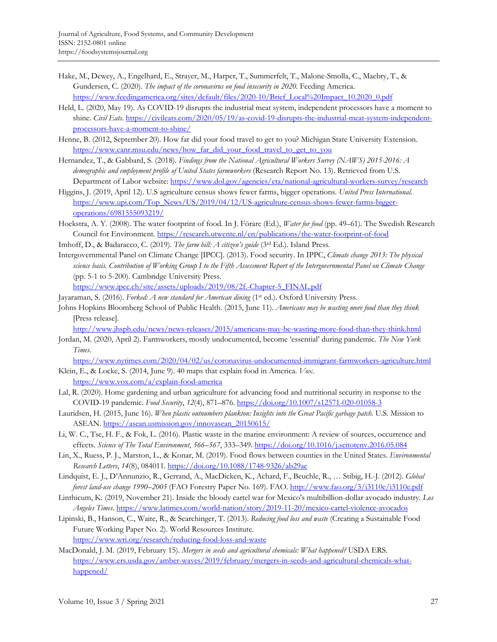- Hake, M., Dewey, A., Engelhard, E., Strayer, M., Harper, T., Summerfelt, T., Malone-Smolla, C., Maebry, T., & Gundersen, C. (2020). *The impact of the coronavirus on food insecurity in 2020*. Feeding America. https://www.feedingamerica.org/sites/default/files/2020-10/Brief\_Local%20Impact\_10.2020\_0.pdf
- Held, L. (2020, May 19). As COVID-19 disrupts the industrial meat system, independent processors have a moment to shine. *Civil Eats*. [https://civileats.com/2020/05/19/as-covid-19-disrupts-the-industrial-meat-system-independent](https://civileats.com/2020/05/19/as-covid-19-disrupts-the-industrial-meat-system-independent-processors-have-a-moment-to-shine/)[processors-have-a-moment-to-shine/](https://civileats.com/2020/05/19/as-covid-19-disrupts-the-industrial-meat-system-independent-processors-have-a-moment-to-shine/)
- Henne, B. (2012, September 20). How far did your food travel to get to you? Michigan State University Extension. https://www.canr.msu.edu/news/how far\_did\_your\_food\_travel\_to\_get\_to\_you
- Hernandez, T., & Gabbard, S. (2018). *Findings from the National Agricultural Workers Survey (NAWS) 2015-2016: A demographic and employment profile of United States farmworkers* (Research Report No. 13). Retrieved from U.S. Department of Labor website:<https://www.dol.gov/agencies/eta/national-agricultural-workers-survey/research>
- Higgins, J. (2019, April 12). U.S agriculture census shows fewer farms, bigger operations. *United Press International*. [https://www.upi.com/Top\\_News/US/2019/04/12/US-agriculture-census-shows-fewer-farms-bigger](https://www.upi.com/Top_News/US/2019/04/12/US-agriculture-census-shows-fewer-farms-bigger-operations/6981555093219/)[operations/6981555093219/](https://www.upi.com/Top_News/US/2019/04/12/US-agriculture-census-shows-fewer-farms-bigger-operations/6981555093219/)
- Hoekstra, A. Y. (2008). The water footprint of food. In J. Förare (Ed.), *Water for food* (pp. 49–61)*.* The Swedish Research Council for Environment[. https://research.utwente.nl/en/publications/the-water-footprint-of-food](https://research.utwente.nl/en/publications/the-water-footprint-of-food)
- Imhoff, D., & Badaracco, C. (2019). *The farm bill: A citizen's guide* (3rd Ed.). Island Press.
- Intergovernmental Panel on Climate Change [IPCC]. (2013). Food security. In IPPC, *Climate change 2013: The physical science basis. Contribution of Working Group I to the Fifth Assessment Report of the Intergovernmental Panel on Climate Change* (pp. 5-1 to 5-200). Cambridge University Press.

[https://www.ipcc.ch/site/assets/uploads/2019/08/2f.-Chapter-5\\_FINAL.pdf](https://www.ipcc.ch/site/assets/uploads/2019/08/2f.-Chapter-5_FINAL.pdf) 

- Jayaraman, S. (2016). *Forked: A new standard for American dining* (1st ed.). Oxford University Press.
- Johns Hopkins Bloomberg School of Public Health. (2015, June 11). *Americans may be wasting more food than they think* [Press release].

<http://www.jhsph.edu/news/news-releases/2015/americans-may-be-wasting-more-food-than-they-think.html>

Jordan, M. (2020, April 2). Farmworkers, mostly undocumented, become 'essential' during pandemic. *The New York Times*.

<https://www.nytimes.com/2020/04/02/us/coronavirus-undocumented-immigrant-farmworkers-agriculture.html> Klein, E., & Locke, S. (2014, June 9). 40 maps that explain food in America. *Vox*.

- <https://www.vox.com/a/explain-food-america>
- Lal, R. (2020). Home gardening and urban agriculture for advancing food and nutritional security in response to the COVID-19 pandemic. *Food Security*, *12*(4), 871–876.<https://doi.org/10.1007/s12571-020-01058-3>
- Lauridsen, H. (2015, June 16). *When plastic outnumbers plankton: Insights into the Great Pacific garbage patch.* U.S. Mission to ASEAN. https://asean.usmission.gov/innovasean\_20150615/
- Li, W. C., Tse, H. F., & Fok, L. (2016). Plastic waste in the marine environment: A review of sources, occurrence and effects. *Science of The Total Environment*, *566–567*, 333–349[. https://doi.org/10.1016/j.scitotenv.2016.05.084](https://doi.org/10.1016/j.scitotenv.2016.05.084)
- Lin, X., Ruess, P. J., Marston, L., & Konar, M. (2019). Food flows between counties in the United States. *Environmental Research Letters*, *14*(8), 084011[. https://doi.org/10.1088/1748-9326/ab29ae](https://doi.org/10.1088/1748-9326/ab29ae)
- Lindquist, E. J., D'Annunzio, R., Gerrand, A., MacDicken, K., Achard, F., Beuchle, R., … Stibig, H.-J. (2012). *Global forest land-use change 1990–2005* (FAO Forestry Paper No. 169). FAO[. http://www.fao.org/3/i3110e/i3110e.pdf](http://www.fao.org/3/i3110e/i3110e.pdf)
- Linthicum, K. (2019, November 21). Inside the bloody cartel war for Mexico's multibillion-dollar avocado industry. *Los Angeles Times*.<https://www.latimes.com/world-nation/story/2019-11-20/mexico-cartel-violence-avocados>
- Lipinski, B., Hanson, C., Waite, R., & Searchinger, T. (2013). *Reducing food loss and waste* (Creating a Sustainable Food Future Working Paper No. 2). World Resources Institute. <https://www.wri.org/research/reducing-food-loss-and-waste>
- MacDonald, J. M. (2019, February 15). *Mergers in seeds and agricultural chemicals: What happened?* USDA ERS. [https://www.ers.usda.gov/amber-waves/2019/february/mergers-in-seeds-and-agricultural-chemicals-what](https://www.ers.usda.gov/amber-waves/2019/february/mergers-in-seeds-and-agricultural-chemicals-what-happened/)[happened/](https://www.ers.usda.gov/amber-waves/2019/february/mergers-in-seeds-and-agricultural-chemicals-what-happened/)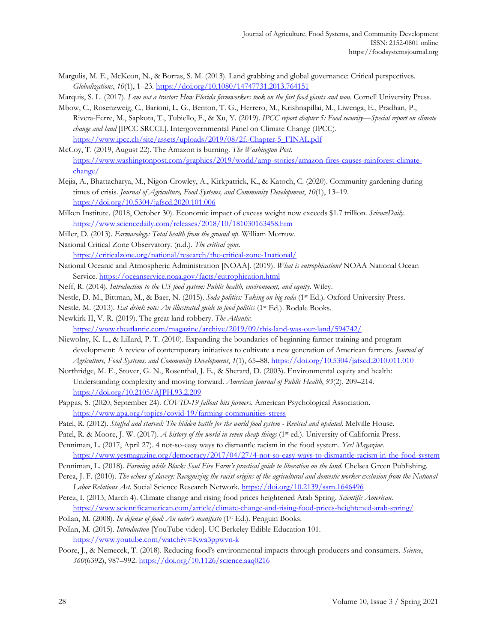Margulis, M. E., McKeon, N., & Borras, S. M. (2013). Land grabbing and global governance: Critical perspectives. *Globalizations*, *10*(1), 1–23.<https://doi.org/10.1080/14747731.2013.764151>

Marquis, S. L. (2017). *I am not a tractor: How Florida farmworkers took on the fast food giants and won*. Cornell University Press.

- Mbow, C., Rosenzweig, C., Barioni, L. G., Benton, T. G., Herrero, M., Krishnapillai, M., Liwenga, E., Pradhan, P., Rivera-Ferre, M., Sapkota, T., Tubiello, F., & Xu, Y. (2019). *IPCC report chapter 5: Food security—Special report on climate change and land* [IPCC SRCCL]. Intergovernmental Panel on Climate Change (IPCC). [https://www.ipcc.ch/site/assets/uploads/2019/08/2f.-Chapter-5\\_FINAL.pdf](https://www.ipcc.ch/site/assets/uploads/2019/08/2f.-Chapter-5_FINAL.pdf)
- McCoy, T. (2019, August 22). The Amazon is burning. *The Washington Post*. [https://www.washingtonpost.com/graphics/2019/world/amp-stories/amazon-fires-causes-rainforest-climate](https://www.washingtonpost.com/graphics/2019/world/amp-stories/amazon-fires-causes-rainforest-climate-change/)[change/](https://www.washingtonpost.com/graphics/2019/world/amp-stories/amazon-fires-causes-rainforest-climate-change/)
- Mejia, A., Bhattacharya, M., Nigon-Crowley, A., Kirkpatrick, K., & Katoch, C. (2020). Community gardening during times of crisis. *Journal of Agriculture, Food Systems, and Community Development*, *10*(1), 13–19. <https://doi.org/10.5304/jafscd.2020.101.006>
- Milken Institute. (2018, October 30). Economic impact of excess weight now exceeds \$1.7 trillion. *ScienceDaily*. <https://www.sciencedaily.com/releases/2018/10/181030163458.htm>
- Miller, D. (2013). *Farmacology: Total health from the ground up*. William Morrow.
- National Critical Zone Observatory. (n.d.). *The critical zone*. <https://criticalzone.org/national/research/the-critical-zone-1national/>
- National Oceanic and Atmospheric Administration [NOAA]. (2019). *What is eutrophication?* NOAA National Ocean Service.<https://oceanservice.noaa.gov/facts/eutrophication.html>
- Neff, R. (2014). *Introduction to the US food system: Public health, environment, and equity*. Wiley.
- Nestle, D. M., Bittman, M., & Baer, N. (2015). *Soda politics: Taking on big soda* (1st Ed.). Oxford University Press.
- Nestle, M. (2013). *Eat drink vote: An illustrated guide to food politics* (1<sup>st</sup> Ed.). Rodale Books.
- Newkirk II, V. R. (2019). The great land robbery. *The Atlantic*.

<https://www.theatlantic.com/magazine/archive/2019/09/this-land-was-our-land/594742/>

- Niewolny, K. L., & Lillard, P. T. (2010). Expanding the boundaries of beginning farmer training and program development: A review of contemporary initiatives to cultivate a new generation of American farmers. *Journal of Agriculture, Food Systems, and Community Development*, *1*(1), 65–88.<https://doi.org/10.5304/jafscd.2010.011.010>
- Northridge, M. E., Stover, G. N., Rosenthal, J. E., & Sherard, D. (2003). Environmental equity and health: Understanding complexity and moving forward. *American Journal of Public Health*, *93*(2), 209–214. <https://doi.org/10.2105/AJPH.93.2.209>
- Pappas, S. (2020, September 24). *COVID-19 fallout hits farmers.* American Psychological Association. <https://www.apa.org/topics/covid-19/farming-communities-stress>
- Patel, R. (2012). *Stuffed and starved: The hidden battle for the world food system Revised and updated*. Melville House.
- Patel, R. & Moore, J. W. (2017). *A history of the world in seven cheap things* (1st ed.). University of California Press.
- Penniman, L. (2017, April 27). 4 not-so-easy ways to dismantle racism in the food system. *Yes! Magazine*. <https://www.yesmagazine.org/democracy/2017/04/27/4-not-so-easy-ways-to-dismantle-racism-in-the-food-system>
- Penniman, L. (2018). *Farming while Black: Soul Fire Farm's practical guide to liberation on the land*. Chelsea Green Publishing.
- Perea, J. F. (2010). *The echoes of slavery: Recognizing the racist origins of the agricultural and domestic worker exclusion from the National Labor Relations Act.* Social Science Research Network[. https://doi.org/10.2139/ssrn.1646496](https://doi.org/10.2139/ssrn.1646496)
- Perez, I. (2013, March 4). Climate change and rising food prices heightened Arab Spring. *Scientific American*. <https://www.scientificamerican.com/article/climate-change-and-rising-food-prices-heightened-arab-spring/>
- Pollan, M. (2008). *In defense of food: An eater's manifesto* (1st Ed.). Penguin Books.
- Pollan, M. (2015). *Introduction* [YouTube video]. UC Berkeley Edible Education 101. <https://www.youtube.com/watch?v=Kwa3ppwvn-k>
- Poore, J., & Nemecek, T. (2018). Reducing food's environmental impacts through producers and consumers. *Science*, *360*(6392), 987–992.<https://doi.org/10.1126/science.aaq0216>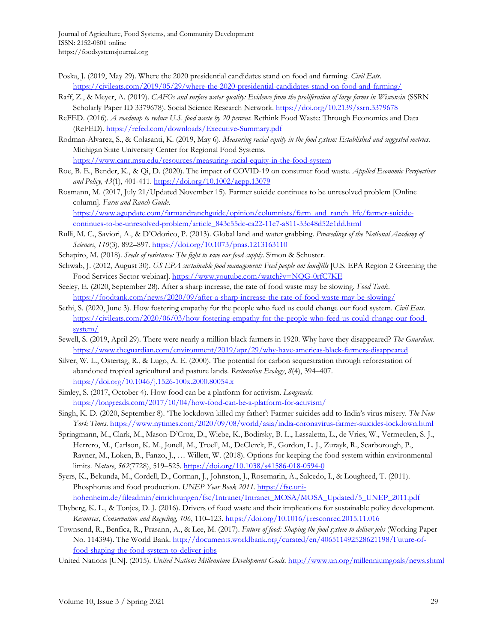- Poska, J. (2019, May 29). Where the 2020 presidential candidates stand on food and farming. *Civil Eats*. <https://civileats.com/2019/05/29/where-the-2020-presidential-candidates-stand-on-food-and-farming/>
- Raff, Z., & Meyer, A. (2019). *CAFOs and surface water quality: Evidence from the proliferation of large farms in Wisconsin* (SSRN Scholarly Paper ID 3379678). Social Science Research Network. https://doi.org/10.2139/ssrn.3379678
- ReFED. (2016). *A roadmap to reduce U.S. food waste by 20 percent*. Rethink Food Waste: Through Economics and Data (ReFED).<https://refed.com/downloads/Executive-Summary.pdf>
- Rodman-Alvarez, S., & Colasanti, K. (2019, May 6). *Measuring racial equity in the food system: Established and suggested metrics*. Michigan State University Center for Regional Food Systems.

<https://www.canr.msu.edu/resources/measuring-racial-equity-in-the-food-system>

- Roe, B. E., Bender, K., & Qi, D. (2020). The impact of COVID-19 on consumer food waste. *Applied Economic Perspectives and Policy, 43*(1), 401-411[. https://doi.org/10.1002/aepp.13079](https://doi.org/10.1002/aepp.13079)
- Rosmann, M. (2017, July 21/Updated November 15). Farmer suicide continues to be unresolved problem [Online column]. *Farm and Ranch Guide*.

[https://www.agupdate.com/farmandranchguide/opinion/columnists/farm\\_and\\_ranch\\_life/farmer-suicide](https://www.agupdate.com/farmandranchguide/opinion/columnists/farm_and_ranch_life/farmer-suicide-continues-to-be-unresolved-problem/article_843c55dc-ca22-11e7-a811-33c48d52e1dd.html)[continues-to-be-unresolved-problem/article\\_843c55dc-ca22-11e7-a811-33c48d52e1dd.html](https://www.agupdate.com/farmandranchguide/opinion/columnists/farm_and_ranch_life/farmer-suicide-continues-to-be-unresolved-problem/article_843c55dc-ca22-11e7-a811-33c48d52e1dd.html)

- Rulli, M. C., Saviori, A., & D'Odorico, P. (2013). Global land and water grabbing. *Proceedings of the National Academy of Sciences*, *110*(3), 892–897[. https://doi.org/10.1073/pnas.1213163110](https://doi.org/10.1073/pnas.1213163110)
- Schapiro, M. (2018). *Seeds of resistance: The fight to save our food supply*. Simon & Schuster.
- Schwab, J. (2012, August 30). *US EPA sustainable food management: Feed people not landfills* [U.S. EPA Region 2 Greening the Food Services Sector webinar]. https://www.youtube.com/watch?v=NQG-0rfC7KE
- Seeley, E. (2020, September 28). After a sharp increase, the rate of food waste may be slowing. *Food Tank*. <https://foodtank.com/news/2020/09/after-a-sharp-increase-the-rate-of-food-waste-may-be-slowing/>
- Sethi, S. (2020, June 3). How fostering empathy for the people who feed us could change our food system. *Civil Eats*. [https://civileats.com/2020/06/03/how-fostering-empathy-for-the-people-who-feed-us-could-change-our-food](https://civileats.com/2020/06/03/how-fostering-empathy-for-the-people-who-feed-us-could-change-our-food-system/)[system/](https://civileats.com/2020/06/03/how-fostering-empathy-for-the-people-who-feed-us-could-change-our-food-system/)
- Sewell, S. (2019, April 29). There were nearly a million black farmers in 1920. Why have they disappeared? *The Guardian*. <https://www.theguardian.com/environment/2019/apr/29/why-have-americas-black-farmers-disappeared>
- Silver, W. L., Ostertag, R., & Lugo, A. E. (2000). The potential for carbon sequestration through reforestation of abandoned tropical agricultural and pasture lands. *Restoration Ecology*, *8*(4), 394–407. <https://doi.org/10.1046/j.1526-100x.2000.80054.x>
- Simley, S. (2017, October 4). How food can be a platform for activism. *Longreads*. <https://longreads.com/2017/10/04/how-food-can-be-a-platform-for-activism/>
- Singh, K. D. (2020, September 8). 'The lockdown killed my father': Farmer suicides add to India's virus misery. *The New York Times*[. https://www.nytimes.com/2020/09/08/world/asia/india-coronavirus-farmer-suicides-lockdown.html](https://www.nytimes.com/2020/09/08/world/asia/india-coronavirus-farmer-suicides-lockdown.html)
- Springmann, M., Clark, M., Mason-D'Croz, D., Wiebe, K., Bodirsky, B. L., Lassaletta, L., de Vries, W., Vermeulen, S. J., Herrero, M., Carlson, K. M., Jonell, M., Troell, M., DeClerck, F., Gordon, L. J., Zurayk, R., Scarborough, P., Rayner, M., Loken, B., Fanzo, J., … Willett, W. (2018). Options for keeping the food system within environmental limits. *Nature*, *562*(7728), 519–525.<https://doi.org/10.1038/s41586-018-0594-0>
- Syers, K., Bekunda, M., Cordell, D., Corman, J., Johnston, J., Rosemarin, A., Salcedo, I., & Lougheed, T. (2011). Phosphorus and food production. *UNEP Year Book 2011*. [https://fsc.uni](https://fsc.uni-hohenheim.de/fileadmin/einrichtungen/fsc/Intranet/Intranet_MOSA/MOSA_Updated/5_UNEP_2011.pdf)hohenheim.de/fileadmin/einrichtungen/fsc/Intranet/Intranet\_MOSA/MOSA\_Updated/5\_UNEP\_2011.pdf
- Thyberg, K. L., & Tonjes, D. J. (2016). Drivers of food waste and their implications for sustainable policy development. *Resources, Conservation and Recycling*, *106*, 110–123[. https://doi.org/10.1016/j.resconrec.2015.11.016](https://doi.org/10.1016/j.resconrec.2015.11.016)
- Townsend, R., Benfica, R., Prasann, A., & Lee, M. (2017). *Future of food: Shaping the food system to deliver jobs* (Working Paper No. 114394). The World Bank. [http://documents.worldbank.org/curated/en/406511492528621198/Future-of](http://documents.worldbank.org/curated/en/406511492528621198/Future-of-food-shaping-the-food-system-to-deliver-jobs)[food-shaping-the-food-system-to-deliver-jobs](http://documents.worldbank.org/curated/en/406511492528621198/Future-of-food-shaping-the-food-system-to-deliver-jobs)

United Nations [UN]. (2015). *United Nations Millennium Development Goals*.<http://www.un.org/millenniumgoals/news.shtml>